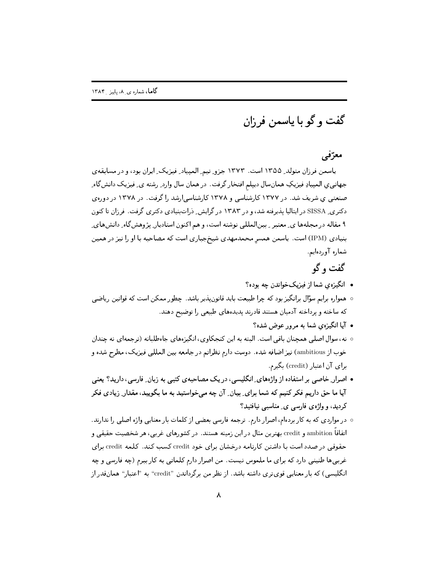گفت و گو با یاسمن فرزان

## معرّفی

ياسمن فرزان متولد ِ ١٣٥٥ است. ١٣٧٣ جزو تيم ِ الميياد ِ فيزيك ِ ايران بود، و در مسابقه ي جهاني ي المپيادِ فيزيکِ همانسال ديپلم افتخار گرفت. در همان سال وارد ِ رشته ي ِ فيزيک دانش گاه ِ صنعتی ی شریف شد. در ۱۳۷۷ کارشناسی و ۱۳۷۸ کارشناسی ارشد را گرفت. در ۱۳۷۸ در دورهی دکتری ـ SISSA در ایتالیا پذیرفته شد، و در ۱۳۸۳ در گرایش ِ دراتبنیادی دکتری گرفت. فرزان تا کنون ۹ مقاله در مجلهها ی ِ معتبر ِ بینالمللی نوشته است، و هم اکنون استادیار ِ پژوهش گاه ِ دانشهای ِ بنیادی (IPM) است. یاسمن همسر محمدمهدی شیخجباری است که مصاحبه با او را نیز در همین شماره آوردهایم.

## گفت و گو

- انگیزهی شما از فیزیکخواندن چه بوده؟
- همواره برایم سؤال برانگیز بود که چرا طبیعت باید قانون پذیر باشد. چطور ممکن است که قوانین ریاضی که ساخته و پرداخته آدمیان هستند قادرند پدیدههای طبیعی را توضیح دهند.
	- آیا انگیزهی شما به مرور عوض شده؟
- ٥ نه، سوال اصلی همچنان باقی است. البته به این کنجکاوی، انگیزههای جاهطلبانه (ترجمهای نه چندان خوب از ambitious) نیز اضافه شده. دوست دارم نظراتم در جامعه بین المللی فیزیک، مطرح شده و برای آن اعتبار (credit) بگیرم.
- اصرار ِ خاصه ٍ بر استفاده از واژههای ِ انگلیسی، در یک مصاحبهی کتبی به زبان ِ فارسی، دارید؟ یعنی آیا ما حق داریم فکر کنیم که شما برای ِ بیان ِ آن چه میخواستید به ما بگویید، مقدار ِ زیادی فکر کردید، و واژەي فارسے ی ِ مناسبے نیافتید؟
- در مواردی که به کار بردهام، اصرار دارم. ترجمه فارسی بعضی از کلمات بار معنایی واژه اصلی را ندارند. اتفاقاً ambition و credit بهترین مثال در این زمینه هستند. در کشورهای غربی، هر شخصیت حقیقی و حقوقی در صدد است با داشتن کارنامه درخشان برای خود credit کسب کند. کلمه credit برای غربیها طنینبی دارد که برای ما ملموس نیست. من اصرار دارم کلماتبی به کار ببرم (چه فارسی و چه انگلیسی) که بار معنایی قویتری داشته باشد. از نظر من برگرداندن "credit" به "اعتبار" همانقدر از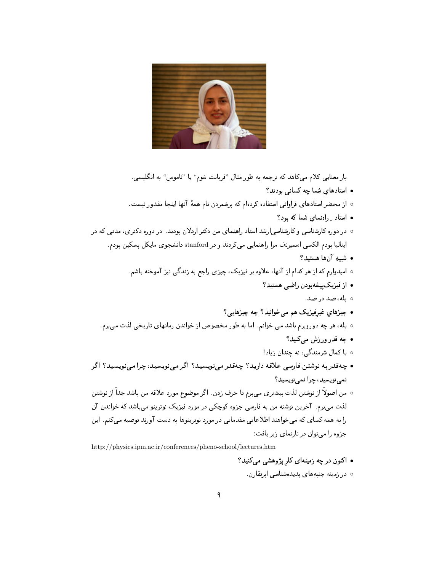

بار معنایی کلام میکاهد که ترجمه به طور مثال "قربانت شوم" یا "ناموس" به انگلیسی. • استادهای شما چه کسانی بودند؟ ○ از محضر استادهای فراوانی استفاده کردهام که برشمردن نام همهٔ آنها اینجا مقدور نیست.  $\Omega$  - استاد با ادنمای شما که بود ○ در دوره کارشناسی و کارشناسیارشد استاد راهنمای من دکتر اردلان بودند. در دوره دکتری، مدتی که در ایتالیا بودم الکسی اسمیرنف مرا راهنمایی میکردند و در stanford دانشجوی مایکل پسکین بودم. • شبيه آنها هستيد؟ ○ امیدوارم که از هر کدام از آنها، علاوه بر فیزیک، چیزی راجع به زندگی نیز آموخته باشم. • از فیزیک پیشهبودن راضبی هستید؟ ه بله، صد در صد. • چیزهای غیرفیزیک هم می خوانید؟ چه چیزهایی؟ ٥ بله، هر چه دوروبرم باشد مي خوانم. اما به طور مخصوص از خواندن رمانهاي تاريخي لذت مي برم. • چه قدر ورزش مىكنيد؟ ه با کمال شرمندگی، نه چندان زیاد! • چەقدر بە نوشتىن فارسى علاقە داريد؟ چەقدر مىينويسيد؟ اگر مىينويسيد، چرا مىنويسيد؟ اگر نمي نويسيد، چرا نمي نويسيد؟ ○ من اصولاً از نوشتن لذت بیشتری میبرم تا حرف زدن. اگر موضوع مورد علاقه من باشد جداً از نوشتن لذت می برم. آخرین نوشته من به فارسی جزوه کوچکی در مورد فیزیک نوترینو میباشد که خواندن آن را به همه کسای که میخواهند اطلاعاتی مقدماتی در مورد نوترینوها به دست آورند توصیه میکنم. این جزوه را می توان در تاریمای زیر یافت:

http://physics.ipm.ac.ir/conferences/pheno-school/lectures.htm

- اکنون در چه زمینهای کار پژوهشی میکنید؟
	- ۰ در زمینه جنبههای پدیدهشناسی ابرتقارن.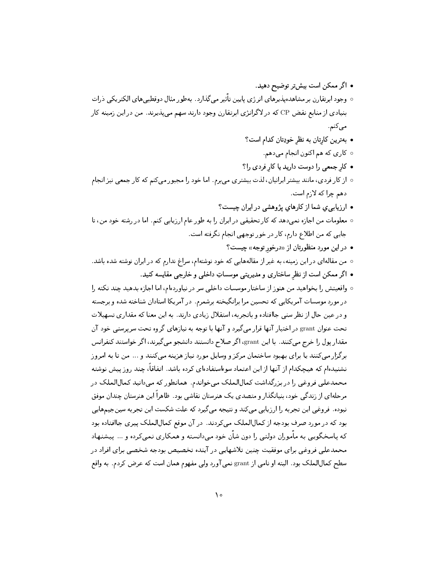- اگر ممکن است بیشتر توضیح دهید.
- وجود ابرتقارن بر مشاهدهپذیرهای انرژی پایین تأثیر میگذارد. بهطور مثال دوقطبی،های الکتریکی ذرات بنیادی از منابع نقض CP که در لاگرانژی ابرتقارن وجود دارند سهم می پذیرند. من در این زمینه کار می کنم .
	- بهترین کارتان به نظر خودِتان کدام است؟
		- ه کاري که هم اکنون انجام ميدهم.
	- کار جمعی را دوست دارید یا کار فردی را؟
- از کار فردی، مانند بیشتر ایرانیان، لذت بیشتری میبرم. اما خود را مجبور میکنم که کار جمعی نیز انجام دهم چرا که لازم است.
	- ارزيابي ي شما از كارهاي پژوهشي در ايران چيست؟
- معلومات من اجازه نمىدهد كه كار تحقيقى در ايران را به طور عام ارزيابى كنم. اما در رشته خود من، تا جایی که من اطلاع دارم، کار در خور توجهی انجام نگرفته است.
	- در اين مورد منظورتان از «درخور توجه» چيست؟
- من مقالهای در این زمینه، به غیر از مقالههایی که خود نوشتهام، سراغ ندارم که در ایران نوشته شده باشد.
	- اگر ممکن است از نظر ساختاری و مدیریتی موسساتِ داخلی و خارجی مقایسه کنید.
- واقعیتش را بخواهید من هنوز از ساختار موسسات داخلی سر در نیاوردهام، اما اجازه بدهید چند نکته را در مورد موسسات آمریکایی که تحسین مرا برانگیخته برشمرم. در آمریکا استادان شناخته شده و برجسته و در عین حال از نظر سنبی جاافتاده و باتجربه، استقلال زیادی دارند. به این معنا که مقداری تسهیلات تحت عنوان grant در اختیار آنها قرار میگیرد و آنها با توجه به نیازهای گروه تحت سرپرستی خود آن مقدار پول را خرج می کنند. با این grant، اگر صلاح دانستند دانشجو می گیرند، اگر خواستند کنفرانس برگزار می کنند یا برای بهبود ساختمان مرکز و وسایل مورد نیاز هزینه میکنند و ... من تا به امروز نشنیدهام که هیچکدام از آنها از این اعتماد سوءاستفادهای کرده باشد. اتفاقاً، چند روز پیش نوشته محمدعلی فروغی را در بزرگداشت کمالالملک می خواندم. همانطور که می دانید کمالالملک در مرحلهای از زندگی خود، بنیانگذار و متصدی یک هنرستان نقاشی بود. ظاهراً این هنرستان چندان موفق نبوده. فروغي اين تجربه را ارزيابي مي كند و نتيجه مي گيرد كه علت شكست اين تجربه سينجيمهايي بود که در مورد صرف بودجه از کمالالملک می کردند. در آن موقع کمالالملک پیری جاافتاده بود که پاسخگویی به مأموران دولتی را دون شأن خود میدانسته و همکاری نمی کرده و … پیشنهاد محمدعلی فروغی برای موفقیت چنین تلاشهایی در آینده تخصیص بودجه شخصی برای افراد در سطح كمالالملك بود. البته او نامي از grant نمي آورد ولي مفهوم همان است كه عرض كردم. به واقع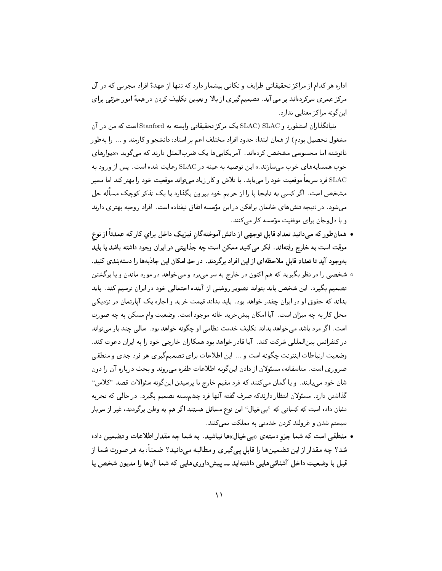اداره هر کدام از مراکز تحقیقاتی ظرایف و نکاتی بیشمار دارد که تنها از عهدهٔ افراد مجربی که در آن مرکز عمری سرکردهاند بر می آید. تصمیمگیری از بالا و تعیین تکلیف کردن در همهٔ امور جزئی برای اد، گونه مراکز معنایی ندارد.

بنیانگذاران استنفورد و SLAC) SLAC یک مرکز تحقیقاتی وابسته به Stanford است که من در آن مشغول تحصیل بودم) از همان ابتدا، حدود افراد مختلف اعم بر استاد، دانشجو و کارمند و … را بهطور نانوشته اما محسوسی مشخص کردهاند. آمریکاییها یک ضربالمثل دارند که میگوید «دیوارهای خوب همسایههای خوب می سازند.» این توصیه به عینه در SLAC رعایت شده است. پس از ورود به SLAC فرد سریعاً موقعیت خود را می یابد. با تلاش و کار زیاد میتواند موقعیت خود را بهتر کند اما مسیر مشخص است. اگر کسی به نابجا یا را از حریم خود بیرون بگذارد با یک تذکر کوچک مسأله حل میشود. در نتیجه تنشهای خانمان برافکن در این مؤسسه اتفاق نیفتاده است. افراد روحیه بهتری دارند و با دل وجان برای موفقیت مؤسسه کار می کنند.

- همانطور که می،دانید تعدادِ قابل توجهی از دانش آموختهگانِ فیزیکِ داخل برایِ کار که عمدتاً از نوع موقت است به خارج رفتهاند. فکر می کنید ممکن است چه جذابیتی در ایران وجود داشته باشد یا باید بهوجود آيد تا تعدادِ قابل ملاحظهاي از اين افراد برگردند. در حدِ امكان اين جاذبهها را دستهبندي كنيد.
- شخصی را در نظر بگیرید که هم اکنون در خارج به سر میبرد و میخواهد در مورد ماندن و یا برگشتن تصمیم بگیرد. این شخص باید بتواند تصویر روشنی از آینده احتمالی خود در ایران ترسیم کند. باید بداند که حقوق او در ایران چقدر خواهد بود. باید بداند قیمت خرید و اجاره یک آپارتمان در نزدیکی محل کار به چه میزان است. آیا امکان پیشخرید خانه موجود است. وضعیت وام مسکن به چه صورت است. اگر مرد باشد می خواهد بداند تکلیف خدمت نظامی او چگونه خواهد بود . سالی چند بار می تواند در کنفرانس بینالمللی شرکت کند. آیا قادر خواهد بود همکاران خارجی خود را به ایران دعوت کند. وضعیت ارتباطات اینترنت چگونه است و ... این اطلاعات برای تصمیمگیری هر فرد جدی و منطقی ضروری است. متاسفانه، مسئولان از دادن اینگونه اطلاعات طفره می روند و بحث درباره آن را دون شان خود می یابند. و یا گمان میکنند که فرد مقیم خارج با پرسیدن اینگونه سئوالات قصد "کلاس" گذاشتن دارد. مسئولان انتظار دارندکه صرف گفته آنها فرد چشم بسته تصمیم بگیرد. در حالبی که تجربه نشان داده است که کسانی که "بیخیال" این نوع مسائل هستند اگر هم به وطن برگردند، غیر از سربار سیستم شدن و غرولند کردن خدمتی به مملکت نمی کنند.
- منطقی است که شما جزو دستهی «بی خیال»ها نباشید. به شما چه مقدار اطلاعات و تضمین داده شد؟ چه مقدار از این تضمینها را قابل پیگیری و مطالبه میدانید؟ ضمناً، به هر صورت شما از قبل با وضعیتِ داخل آشنائیهایی داشتهاید ـــ ییشداوریهایی که شما آنها را مدیون شخص یا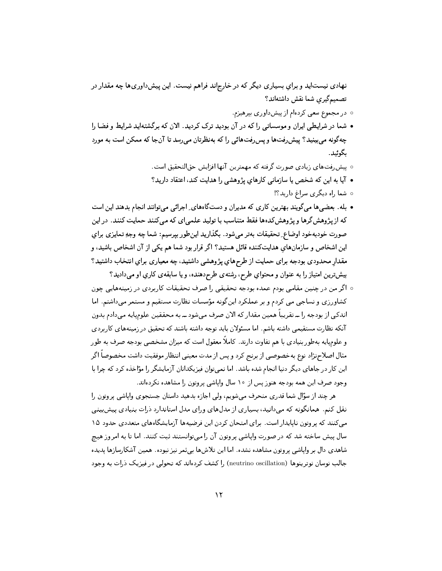- ٥ در مجموع سعي كردهام از پيشداوري بيرهيزم.
- شما در شرایطی ایران و موسساتی را که در آن بودید ترک کردید. الان که برگشتهاید شرایط و فضا را چهگونه می بینید؟ پیش رفتها و پس رفتهائی را که بهنظرتان می رسد تا آنجا که ممکن است به مورد بگوئيد.
	- پیش,فتھای زیادی صورت گرفته که مهمترین آنها افزایش حقالتحقیق است.
	- آیا به این که شخص یا سازمانی کارهای پژوهشی را هدایت کند، اعتقاد دارید؟
		- ه شما راه دیگری سراغ دارید؟!
- بله. بعضيها ميگويند بهترين كاري كه مديران و دستگاههاي ِ اجرائي مي توانند انجام بدهند اين است که از پژوهشگرها و پژوهشکدهها فقط متناسب با تولید علمیای که میکنند حمایت کنند. در این صورت خودبهخود اوضاع ِ تحقیقات بهتر میشود. بگذارید اینطور بیرسیم: شما چه وجهِ تمایزی برای این اشخاص و سازمانهای هدایتکننده قائل هستید؟ اگر قرار بود شما هم یکی از آن اشخاص باشید، و مقدار محدودی بودجه برای حمایت از طرحهایِ پژوهشی داشتید، چه معیاری برایِ انتخاب داشتید؟ بيش ترين امتياز را به عنوان و محتواي طرح، رشتهي طرح دهنده، و يا سابقهي كاري او مى داديد؟
- اگر من در چنین مقامی بودم عمده بودجه تحقیقی را صرف تحقیقات کاربردی در زمینههایی چون کشاورزی و نساجی می کردم و بر عملکرد اینگونه مؤسسات نظارت مستقیم و مستمر میداشتم. اما اندکی از بودجه را ـــ تقریباً همین مقدار که الان صرف می شود ـــ به محققین علومیایه می دادم بدون آنکه نظارت مستقیمی داشته باشم. اما مسئولان باید توجه داشته باشند که تحقیق در زمینههای کاربردی و علومیایه بهطور بنیادی با هم تفاوت دارند. کاملاً معقول است که میزان مشخصبی بودجه صرف به طور مثال اصلاحنژاد نوع بهخصوصي از برنج كرد و پس از مدت معيني انتظار موفقيت داشت مخصوصاً اگر این کار در جاهای دیگر دنیا انجام شده باشد. اما نمی توان فیزیکدانان آزمایشگر را مؤاخذه کرد که چرا با وجود صرف این همه بودجه هنوز پس از ۱۰ سال وایاشی پروتون را مشاهده نکردهاند.

هر چند از سؤال شما قدري منحرف ميشويم، ولي اجازه بدهيد داستان جستجوي واپاشي پروتون را نقل کنم. همانگونه که می دانید، بسیاری از مدلهای ورای مدل استاندارد ذرات بنیادی پیش بینی می کنند که پروتون ناپایدار است. برای امتحان کردن این فرضیهها آزمایشگاههای متعددی حدود ۱۵ سال پیش ساخته شد که در صورت وایاشی پروتون آن را میتوانستند ثبت کنند. اما تا به امروز هیچ شاهدی دال بر وایاشی پروتون مشاهده نشده. اما این تلاشها بی ثمر نیز نبوده. همین آشکارسازها پدیده جالب نوسان نوترینوها (neutrino oscillation) را کشف کردهاند که تحولی در فیزیک ذرات به وجود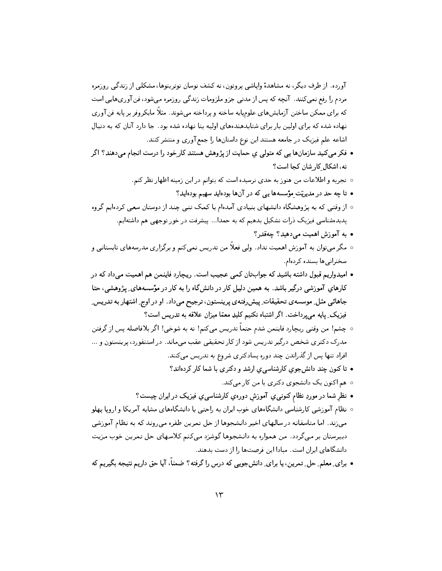آورده. از طرف دیگر، نه مشاهدهٔ وایاشی پروتون، نه کشف نوسان نوترینوها، مشکلی از زندگی روزمره مردم را رفع نمیکنند. آنچه که پس از مدتی جزو ملزومات زندگی روزمره میشود، فنآوریهایی است که برای ممکن ساختن آزمایشهای علومیایه ساخته و پرداخته می،شوند. مثلاً مایکروفر بر پایه فن آوری نهاده شده که برای اولین بار برای شتابدهندههای اولیه بنا نهاده شده بود . جا دارد آنان که به دنبال اشاعه علم فیزیک در جامعه هستند این نوع داستانها را جمع آوری و منتشر کنند.

- فکر میکنید سازمانها یی که متولی ی حمایت از پژوهش هستند کارخود را درست انجام میدهند؟ اگر نه، اشکال کار شان کجا است؟
	- تجربه و اطلاعات من هنوز به حدى نرسيده است كه بتوانم در اين زمينه اظهار نظر كنم.
		- تا چه حد در مدیریّت مؤسسهها یی که در آنها بودهاید سهیم بودهاید؟
- از وقتبی که به پژوهشگاه دانشهای بنیادی آمدهام با کمک تنبی چند از دوستان سعی کردهایم گروه پدیدهشناسی فیزیک ذرات تشکیل بدهیم که به حمدا... پیشرفت در خور توجهی هم داشتهایم.
	- به آموزش اهمیت میردهید؟ چهقدر؟
- مگر میتوان به آموزش اهمیت نداد. ولی فعلاً من تدریس نمیکنم و برگزاری مدرسههای تابستانی و سخنرانى ها بسنده كردهام.
- امیدواریم قبول داشته باشید که جوابتان کمبی عجیب است. ریچارد فاینمن هم اهمیت می داد که در کارهای آموزشی درگیر باشد. به همین دلیل کار در دانشگاه را به کار در مؤسسههای ِ پژوهشی، حتا جاهائمی مثل ِ موسسه ی تحقیقات ِ پیش ِفته ی پرینستون، ترجیح میداد. او در اوج ِ اشتهار به تدریس ِ فیزیک ِ یایه م<sub>ی </sub>پرداخت. اگر اشتباه نکنیم کلیدِ معمّا میزان علاقه به تدریس است؟
- چشم! من وقتبي ريچارد فاينمن شدم حتماً تدريس ميكنم! نه به شوخي! اگر بلافاصله پس از گرفتن .<br>مدرک دکتری شخص درگیر تدریس شود از کار تحقیقی عقب میماند. در استنفورد، پرینستون و ... افراد تنها پس از گذراندن چند دوره پسادکتری شروع به تدریس میکنند.
	- تاکنون چند دانش جوی کارشناسی ی ارشد و دکتری با شما کار کردهاند؟
		- ه هم اکنون یک دانشجوی دکتری با من کار می کند.
	- نظر شما در موردِ نظام کنونبی یِ آموزش دورهیِ کارشناسبی یِ فیزیک در ایران چیست؟
- ه نظام آموزشی کارشناسی دانشگاههای خوب ایران به راحتی با دانشگاههای مشابه آمریکا و اروپا پهلو می;ند. اما متاسفانه در سالهای اخیر دانشجوها از حل تمرین طفره می روند که به نظام آموزشی دبیرستان بر میگردد. من همواره به دانشجوها گوشزد میکنم کلاسهای حل تمرین خوب مزیت دانشگاهای ایران است. مبادا این فرصتها را از دست بدهند.
- برای ِ معلم ِ حل ِ تمرین، یا برای ِ دانشجویی که درس را گرفته؟ ضمناً، آیا حق داریم نتیجه بگیریم که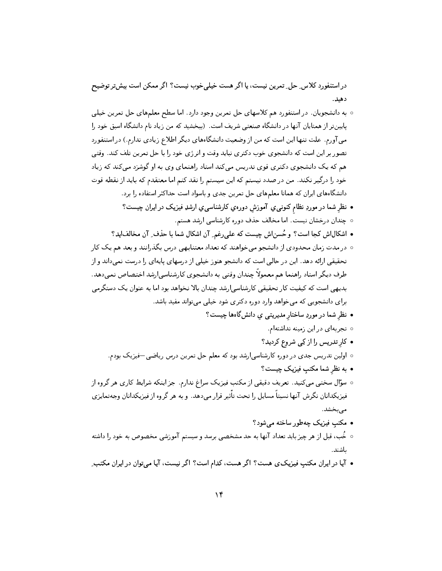در استنفورد کلاس ِ حل ِ تمرین نیست، یا اگر هست خیلی ِخوب نیست؟ اگر ممکن است بیش تر توضیح دهيد.

- 0 به دانشجویان . در استنفورد هم کلاسهای حل تمرین وجود دارد. اما سطح معلمهای حل تمرین خیلی پایینتر از همتایان آنها در دانشگاه صنعتی شریف است. (ببخشید که من زیاد نام دانشگاه اسبق خود را می آورم. علت تنها این است که من از وضعیت دانشگاههای دیگر اطلاع زیادی ندارم.) در استنفورد تصور بر این است که دانشجوی خوب دکتری نباید وقت و انرژی خود را با حل تمرین تلف کند. وقتی هم که یک دانشجوی دکتری قوی تدریس میکند استاد راهنمای وی به او گوشزد میکند که زیاد خود را درگیر نکند. من در صدد نیستم که این سیستم را نقد کنم اما معتقدم که باید از نقطه قوت دانشگاههای ایران که همانا معلمهای حل تمرین جدی و باسواد است حداکثر استفاده را برد.
	- نظر شما در موردِ نظام کنونبی یِ آموزش دورهیِ کارشناسبی یِ ارشدِ فیزیک در ایران چیست؟
		- ۰ چندان درخشان نیست. اما مخالف حذف دوره کارشناسی ارشد هستم.
	- اشکالاش کجا است؟ و حُسناش چیست که علی رغم ِ آن اشکال شما با حذف ِ آن مخالفاید؟
- در مدت زمان محدودي از دانشجو ميخواهند كه تعداد معتنابهي درس بگذرانند و بعد هم يک كار تحقیقی ارائه دهد. این در حالی است که دانشجو هنوز خیلی از درسهای پایهای را درست نمیداند و از طرف دیگر استاد راهنما هم معمولاً چندان وقتبی به دانشجوی کارشناسی|رشد اختصاص نمیدهد. بدیهی است که کیفیت کار تحقیقی کارشناسی ارشد چندان بالا نخواهد بود اما به عنوان یک دستگرمی برای دانشجویی که میخواهد وارد دوره دکتری شود خیلی میتواند مفید باشد.
	- نظر شما در موردِ ساختار مدیریتبی ی دانشگاهها چیست؟
		- ٥ تجربهاى در اين زمينه نداشتهام.
		- کارتدریس را از کِی شروع کردید؟
	- 0 اولین تدریس جدی در دوره کارشناسی|رشد بود که معلم حل تمرین درس ریاضی−فیزیک بودم.
		- به نظر شما مکتب فیزیک چیست؟
- سؤال سختی میکنید. تعریف دقیقی از مکتب فیزیک سراغ ندارم. جز اینکه شرایط کاری هر گروه از فیزیکدانان نگرش آنها نسبتاً مسایل را تحت تأثیر قرار میدهد. و به هر گروه از فیزیکدانان وجهتمایزی مى بخشد.
	- مکتب فیزیک چهطور ساخته مے شود؟
- خُب، قبل از هر چیز باید تعداد آنها به حد مشخصی برسد و سیستم آموزشی مخصوص به خود را داشته ىاشند.
- آیا در ایران مکتب فیزیک ی هست؟ اگر هست، کدام است؟ اگر نیست، آیا میتوان در ایران مکتب ِ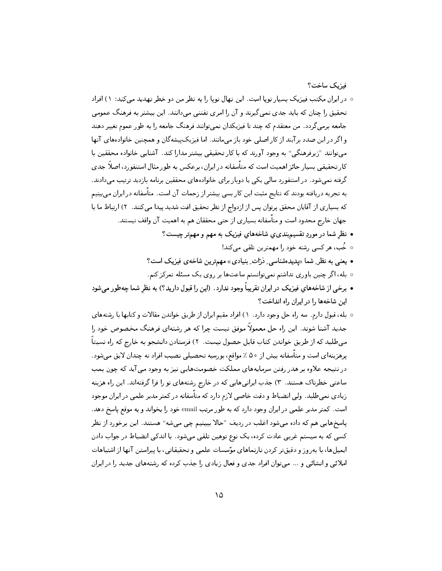فيزيك ساخت؟

- در ایران مکتب فیزیک بسیار نویا است. این نهال نویا را به نظر من دو خطر تهدید می کند: ١) افراد تحقیق را چنان که باید جدی نمی گیرند و آن را امری تفننی می دانند. این بیشتر به فرهنگ عمومی جامعه برمی گردد . من معتقدم که چند تا فیزیکدان نمی توانند فرهنگ جامعه را به طور عموم تغییر دهند و اگر در این صدد برآیند از کار اصلی خود باز میمانند. اما فیزیک پیشهگان و همچنین خانوادههای آنها میتوانند "زیرفرهنگی" به وجود آورند که با کار تحقیقی بیشتر مدارا کند. آشنایی خانواده محققین با کار تحقیقی بسیار حائز اهمیت است که متأسفانه در ایران، برعکس به طور مثال استنفورد، اصلاً جدی گرفته نمی شود . در استنفورد سالی یکی یا دوبار برای خانوادههای محققین برنامه بازدید ترتیب می دادند . به تجربه دریافته بودند که نتایج مثبت این کار بسی بیشتر از زحمات آن است. متأسفانه در ایران می بینیم كه بسياري از آقايان محقق پرتوان پس از ازدواج از نظر تحقيق افت شديد پيدا ميكنند. ٢) ارتباط ما با جهان خارج محدود است و متأسفانه بسیاری از حتبی محققان هم به اهمیت آن واقف نیستند. • نظر شما در موردِ تقسیمېندې ي شاخههاې فیزیک به مهم و مهمتر چیست؟
	- خُب، هر کسی رشته خود را مهمترین تلقی میکند!
	- یعنبی به نظر ِ شما «پدیدهشناسی ِ دْرَّات ِ بنیادی» مهمترین شاخهی فیزیک است؟
	- ه بله، اگر چنین باوری نداشتم نمیتوانستم ساعتها بر روی یک مسئله تمرکز کنم.
- برخی از شاخههای فیزیک در ایران تقریباً وجود ندارد. (این را قبول دارید؟) به نظر شما چهطور میشود این شاخهها را در ایران راه انداخت؟
- بله، قبول دارم. سه راه حل وجود دارد. ١) افراد مقیم ایران از طریق خواندن مقالات و کتابها با رشتههای جدید آشنا شوند. این راه حل معمولاً موفق نیست چرا که هر رشتهای فرهنگ مخصوص خود را می طلبد که از طریق خواندن کتاب قابل حصول نیست. ۲) فرستادن دانشجو به خارج که راه نسبتاً پرهزینهای است و متأسفانه بیش از ۵۰ ٪ مواقع، بورسیه تحصیلی نصیب افراد نه چندان لایق میشود . در نتیجه علاوه بر هدر رفتن سرمایههای مملکت خصومتهایی نیز به وجود می آید که چون بمب ساعتی خطرناک هستند. ۳) جذب ایرانیهایی که در خارج رشتههای نو را فرا گرفتهاند. این راه هزینه زیادی نمیطلبد. ولی انضباط و دقت خاصی لازم دارد که متأسفانه در کمتر مدیر علمی در ایران موجود است. کمتر مدیر علمی در ایران وجود دارد که به طور مرتب email خود را بخواند و به موقع پاسخ دهد. پاسخهایی هم که داده می شود اغلب در ردیف "حالا ببینیم چی می شه" هستند. این برخورد از نظر کسی که به سیستم غربی عادت کرده، یک نوع توهین تلقی میشود . با اندکی انضباط در جواب دادن ایمیلها، با بهروز و دقیقتر کردن تارنماهای مؤسسات علمی و تحقیقاتی، با پیراستن آنها از اشتباهات املائی و انشائی و … میتوان افراد جدی و فعال زیادی را جذب کرده که رشتههای جدید را در ایران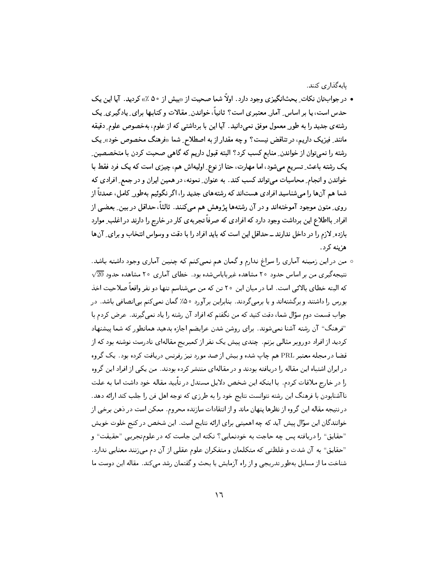بايەگذارى كنند.

- در جوابتان نکات ِ بحثانگیزی وجود دارد. اولاً شما صحبت از «بیش از ۵۰ ٪» کردید. آیا این یک حدس است، یا بر اساس ِ آمار ِ معتبر ی است؟ ثانیاً، خواندن ِ مقالات و کتابها برای ِ یادگیر ی ِ یک رشته ی جدید را به طور ِ معمول موفق نمبی دانید. آیا این با برداشتی که از علوم، بهخصوص علوم ِ دقیقه مانند ِ فیزیک داریم، در تناقض نیست؟ و چه مقدار از به اصطلاح ِ شما «فرهنگ مخصوص خود» ِ یک رشته را نمیتوان از خواندن ِ منابع کسب کرد؟ البته قبول داریم که گاهی صحبت کردن با متخصصین ِ یک رشته باعث ِ تسریع میشود، اما مهارت، حتا از نوع ِ اولیهاش هم، چیزی است که یک فرد فقط با خواندن و انجام ِ محاسبات میتواند کسب کند. به عنوان ِ نمونه، در همین ایران و در جمع ِ افرادی که شما هم آنها را میشناسید افرادی هستاند که رشتههای جدید را، اگر نگوئیم بهطور ِ کامل، عمدتاً از روی ِ متون موجود آموختهاند و در آن رشتهها پژوهش هم میکنند. ثالثاً، حداقل در بین ِ بعضی از افراد ِ بااطلاع این برداشت وجود دارد که افرادی که صرفاً تجربهی کار در خارج را دارند در اغلب ِ موارد بازده ِ لازم را در داخل ندارند ــ حداقل این است که باید افراد را با دقت و وسواس انتخاب و برای ِ آنها هزينه كرد.
- من در اين زمينه آماري را سراغ ندارم و گمان هم نمي كنم كه چنين آماري وجود داشته باشد.  $\sqrt{20}$  نتیجه گیری من بر اساس حدود ۲۰ مشاهده غیربایاس شده بود . خطای آماری ۲۰ مشاهده حدود که البته خطای بالائی است. اما در میان این ۲۰ تن که من می شناسم تنها دو نفر واقعاً صلاحیت اخذ بورس را داشتند و برگشتهاند و یا برمیگردند. بنابراین برآورد ۵۰٪ گمان نمیکنم بیانصافی باشد. در جواب قسمت دوم سؤال شما، دقت کنید که من نگفتم که افراد آن رشته را یاد نمی گیرند. عرض کردم با "فرهنگ" آن رشته آشنا نمبی شوند. برای روشن شدن عرایضم اجازه بدهید همانطور که شما پیشنهاد کردید از افراد دوروبر مثالی بزنم. چندی پیش یک نفر از کمبریج مقالهای نادرست نوشته بود که از قضا در مجله معتبر PRL هم چاپ شده و بیش از صد مورد نیز رفرنس دریافت کرده بود . یک گروه در ایران اشتباه این مقاله را دریافته بودند و در مقالهای منتشر کرده بودند. من یکی از افراد این گروه را در خارج ملاقات کردم. با اینکه این شخص دلایل مستدل در تأیید مقاله خود داشت اما به علت ناآشنابودن با فرهنگ این رشته نتوانست نتایج خود را به طرزی که توجه اهل فن را جلب کند ارائه دهد. در نتیجه مقاله این گروه از نظرها پنهان ماند و از انتقادات سازنده محروم. ممکن است در ذهن برخی از خوانندگان این سؤال پیش آید که چه اهمیتی برای ارائه نتایج است. این شخص در کنج خلوت خویش "حقایق" را دریافته پس چه حاجت به خودنمایی؟ نکته این جاست که در علومتجربی "حقیقت" و "حقایق" به آن شدت و غلظتبی که متکلمان و متفکران علوم عقلبی از آن دم میزنند معنایبی ندارد. شناخت ما از مسایل بهطور تدریجی و از راه آزمایش یا بحث و گفتمان رشد میکند. مقاله این دوست ما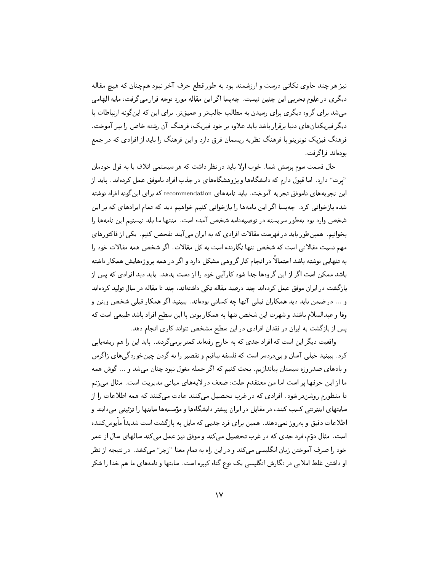نیز هر چند حاوی نکاتی درست و ارزشمند بود به طور قطع حرف آخر نبود همچنان که هیچ مقاله دیگری در علوم تجربی این چنین نیست. چهبسا اگر این مقاله مورد توجه قرار می گرفت، مایه الهامی می شد برای گروه دیگری برای رسیدن به مطالب جالبتر و عمیقتر. برای این که این گونه ارتباطات با دیگر فیزیکدانهای دنیا برقرار باشد باید علاوه بر خود فیزیک، فرهنگ آن رشته خاص را نیز آموخت. فرهنگ فیزیک نوترینو با فرهنگ نظریه ریسمان فرق دارد و این فرهنگ را باید از افرادی که در جمع يودواند فراگرفت.

حال قسمت سوم پرسش شما. خوب اولا باید در نظر داشت که هر سیستمی اتلاف یا به قول خودمان "يرت" دارد. اما قبول دارم كه دانشگاهها و پژوهشگاههاى در جذب افراد ناموفق عمل كردهاند. بايد از این تجربههای ناموفق تجربه آموخت. باید نامههای recommendation که برای اینگونه افراد نوشته شده بازخوانی کرد . چهبسا اگر این نامهها را بازخوانی کنیم خواهیم دید که تمام ایرادهای که بر این شخص وارد بود بهطور سربسته در توصیهنامه شخص آمده است. منتها ما بلد نیستیم این نامهها را بخوانیم. همینطور باید در فهرست مقالات افرادی که به ایران می آیند تفحص کنیم. یکی از فاکتورهای مهم نسبت مقالاتی است که شخص تنها نگارنده است به کل مقالات. اگر شخص همه مقالات خود را به تنهایی نوشته باشد احتمالاً در انجام کار گروهی مشکل دارد و اگر در همه پروژههایش همکار داشته باشد ممکن است اگر از این گروهها جدا شود کارآیی خود را از دست بدهد. باید دید افرادی که پس از بازگشت در ایران موفق عمل کردهاند چند درصد مقاله تکی داشتهاند، چند تا مقاله در سال تولید کردهاند و … در ضمن باید دید همکاران قبلی آنها چه کسانی بودهاند. ببینید اگر همکار قبلی شخص ویتن و وفا و عبدالسلام باشند و شهرت این شخص تنها به همکار بودن با این سطح افراد باشد طبیعی است که یس از بازگشت به ایران در فقدان افرادی در این سطح مشخص نتواند کاری انجام دهد.

واقعیت دیگر این است که افراد جدی که به خارج رفتهاند کمتر برمی گردند. باید این را هم ریشهپابی کرد . ببینید خیلی آسان و بیدردسر است که فلسفه ببافیم و تقصیر را به گردن چینخوردگیهای زاگرس و بادهای صدر وزه سیستان بیاندازیم. بحث کنیم که اگر حمله مغول نبود چنان می شد و … گوش همه ما از این حرفها پر است اما من معتقدم علت، ضعف در لایههای میانی مدیریت است. مثال می زنم تا منظورم روشنتر شود. افرادی که در غرب تحصیل میکنند عادت میکنند که همه اطلاعات را از سایتهای اینترنتی کسب کنند، در مقابل در ایران بیشتر دانشگاهها و مؤسسهها سایتها را تزئینی میدانند و اطلاعات دقیق و بهروز نمی دهند. همین برای فرد جدیی که مایل به بازگشت است شدیداً مایوس کننده است. مثال دوّم، فرد جدی که در غرب تحصیل میکند و موفق نیز عمل میکند سالهای سال از عمر خود را صرف آموختن زبان انگلیسی میکند و در این راه به تمام معنا "زجر" میکشد. در نتیجه از نظر او داشتن غلط املایی در نگارش انگلیسی یک نوع گناه کبیره است. سایتها و نامههای ما هم خدا را شکر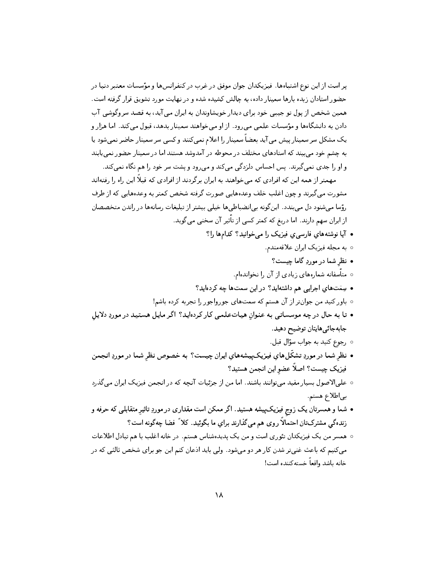یر است از این نوع اشتباهها. فیزیکدان جوان موفق در غرب در کنفرانسها و مؤسسات معتبر دنیا در حضور استادان زبده بارها سمینار داده، به چالش کشیده شده و در نهایت مورد تشویق قرار گرفته است. همين شخص از پول تو جيبي خود براي ديدار خويشاوندان به ايران مي آيد، به قصد سروگوشي آب دادن به دانشگاهها و مؤسسات علمی می رود. از او می خواهند سمینار بدهد، قبول می کند. اما هزار و يک مشکل سر سمينار پيش مي آيد بعضاً سمينار را اعلام نمي کنند و کسي سر سمينار حاضر نمي شود يا به چشم خود می,بیند که استادهای مختلف در محوطه در آمدوشد هستند اما در سمینار حضور نمی،ابند و او را جدی نمیگیرند. پس احساس دلزدگی میکند و میرود و پشت سر خود را هم نگاه نمیکند.

مهمتر از همه این که افرادی که میخواهند به ایران برگردند از افرادی که قبلاً این راه را رفتهاند مشورت میگیرند و چون اغلب خلف وعدههایی صورت گرفته شخص کمتر به وعدههایی که از طرف رؤسا میشنود دل میبندد. اینگونه بیانضباطیها خیلی بیشتر از تبلیغات رسانهها در راندن متخصصان از ایران سهم دارند. اما دریغ که کمتر کسی از تأثیر آن سخنی میگوید.

- آیا نوشتههای فارسی ی فیزیک را می خوانید؟ کدامها را؟
	- ٥ به مجله فیزیک ایران علاقهمندم.
		- نظر شما در موردِ گاما چیست؟
	- متأسفانه شمارههای زیادی از آن را نخواندهام.
- سِمَتهای اجرایی هم داشتهاید؟ در این سمتها چه کردهاید؟
- باور کنید من جوانتر از آن هستم که سمتهای جورواجور را تجربه کرده باشم!
- تا به حال در چه موسساتی به عنوان هیباتعلمی کار کردهاید؟ اگر مایل هستید در موردِ دلایل جابەجائىھايتان توضيح دھيد.
	- رجوع کنيد به جواب سؤال قبل.
- نظر شما در موردِ تشکّلهای فیزیکپیشههایِ ایران چیست؟ به خصوص نظرِ شما در موردِ انجمن فيزيک چيست؟ اصلاً عضو اين انجمن هستيد؟
- علىالاصول بسيار مفيد مىتوانند باشند. اما من از جزئيات آنچه كه در انجمن فيزيک ايران مى گذرد بى اطلاع هستم.
- شما و همسرتان یک زوج فیزیکپیشه هستید. اگر ممکن است مقداری در موردِ تاثیر متقابلی که حرفه و زندهگی مشترکتان احتمالاً روی هم میگذارند برای ما بگوئید. کلاً فضا چهگونه است؟
- همسر من یک فیزیکدان تئوری است و من یک پدیدهشناس هستم. در خانه اغلب با هم تبادل اطلاعات میکنیم که باعث غنیتر شدن کار هر دو میشود. ولی باید ادعان کنم این جو برای شخص ثالثی که در خانه باشد واقعاً خستهكننده است!